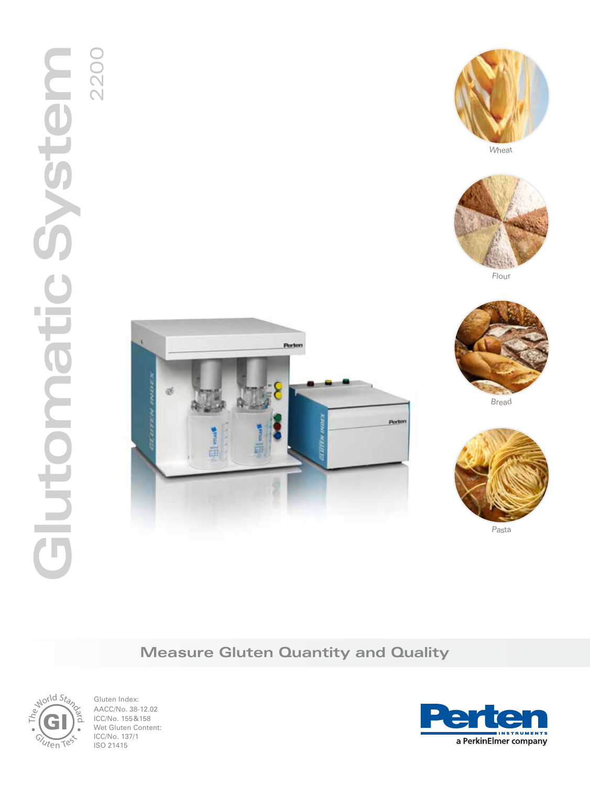# 2<br>2200<br>2200 **Glutomatic System** alutonoatic





Flou<sup>r</sup>







Pasta

# **Measure Gluten Quantity and Quality**



Gluten Index: AACC/No. 38-12.02 ICC/No. 155&158 Wet Gluten Content: ICC/No. 137/1 ISO 21415